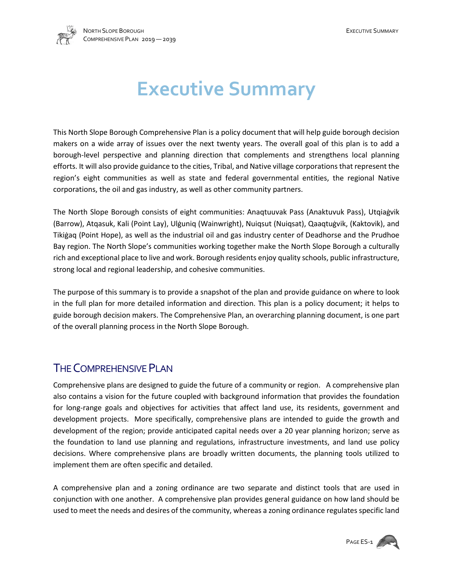

## **Executive Summary**

This North Slope Borough Comprehensive Plan is a policy document that will help guide borough decision makers on a wide array of issues over the next twenty years. The overall goal of this plan is to add a borough-level perspective and planning direction that complements and strengthens local planning efforts. It will also provide guidance to the cities, Tribal, and Native village corporations that represent the region's eight communities as well as state and federal governmental entities, the regional Native corporations, the oil and gas industry, as well as other community partners.

The North Slope Borough consists of eight communities: Anaqtuuvak Pass (Anaktuvuk Pass), Utqiaġvik (Barrow), Atqasuk, Kali (Point Lay), Ulġuniq (Wainwright), Nuiqsut (Nuiqsat), Qaaqtuġvik, (Kaktovik), and Tikiġaq (Point Hope), as well as the industrial oil and gas industry center of Deadhorse and the Prudhoe Bay region. The North Slope's communities working together make the North Slope Borough a culturally rich and exceptional place to live and work. Borough residents enjoy quality schools, public infrastructure, strong local and regional leadership, and cohesive communities.

The purpose of this summary is to provide a snapshot of the plan and provide guidance on where to look in the full plan for more detailed information and direction. This plan is a policy document; it helps to guide borough decision makers. The Comprehensive Plan, an overarching planning document, is one part of the overall planning process in the North Slope Borough.

### THE COMPREHENSIVE PLAN

Comprehensive plans are designed to guide the future of a community or region. A comprehensive plan also contains a vision for the future coupled with background information that provides the foundation for long-range goals and objectives for activities that affect land use, its residents, government and development projects. More specifically, comprehensive plans are intended to guide the growth and development of the region; provide anticipated capital needs over a 20 year planning horizon; serve as the foundation to land use planning and regulations, infrastructure investments, and land use policy decisions. Where comprehensive plans are broadly written documents, the planning tools utilized to implement them are often specific and detailed.

A comprehensive plan and a zoning ordinance are two separate and distinct tools that are used in conjunction with one another. A comprehensive plan provides general guidance on how land should be used to meet the needs and desires of the community, whereas a zoning ordinance regulates specific land

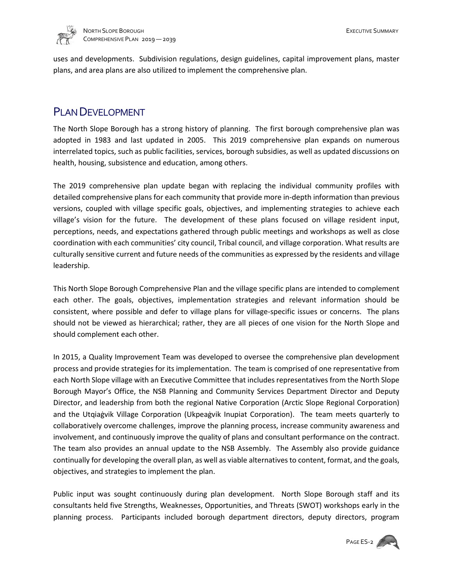

uses and developments. Subdivision regulations, design guidelines, capital improvement plans, master plans, and area plans are also utilized to implement the comprehensive plan.

#### PLAN DEVELOPMENT

The North Slope Borough has a strong history of planning. The first borough comprehensive plan was adopted in 1983 and last updated in 2005. This 2019 comprehensive plan expands on numerous interrelated topics, such as public facilities, services, borough subsidies, as well as updated discussions on health, housing, subsistence and education, among others.

The 2019 comprehensive plan update began with replacing the individual community profiles with detailed comprehensive plans for each community that provide more in-depth information than previous versions, coupled with village specific goals, objectives, and implementing strategies to achieve each village's vision for the future. The development of these plans focused on village resident input, perceptions, needs, and expectations gathered through public meetings and workshops as well as close coordination with each communities' city council, Tribal council, and village corporation. What results are culturally sensitive current and future needs of the communities as expressed by the residents and village leadership.

This North Slope Borough Comprehensive Plan and the village specific plans are intended to complement each other. The goals, objectives, implementation strategies and relevant information should be consistent, where possible and defer to village plans for village-specific issues or concerns. The plans should not be viewed as hierarchical; rather, they are all pieces of one vision for the North Slope and should complement each other.

In 2015, a Quality Improvement Team was developed to oversee the comprehensive plan development process and provide strategies for its implementation. The team is comprised of one representative from each North Slope village with an Executive Committee that includes representatives from the North Slope Borough Mayor's Office, the NSB Planning and Community Services Department Director and Deputy Director, and leadership from both the regional Native Corporation (Arctic Slope Regional Corporation) and the Utqiaġvik Village Corporation (Ukpeaġvik Inupiat Corporation). The team meets quarterly to collaboratively overcome challenges, improve the planning process, increase community awareness and involvement, and continuously improve the quality of plans and consultant performance on the contract. The team also provides an annual update to the NSB Assembly. The Assembly also provide guidance continually for developing the overall plan, as well as viable alternatives to content, format, and the goals, objectives, and strategies to implement the plan.

Public input was sought continuously during plan development. North Slope Borough staff and its consultants held five Strengths, Weaknesses, Opportunities, and Threats (SWOT) workshops early in the planning process. Participants included borough department directors, deputy directors, program

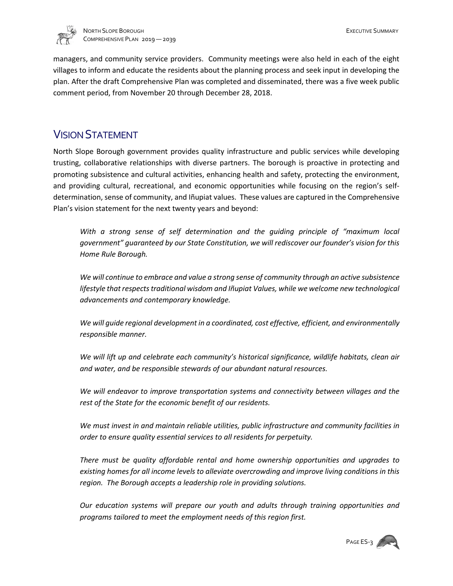

managers, and community service providers. Community meetings were also held in each of the eight villages to inform and educate the residents about the planning process and seek input in developing the plan. After the draft Comprehensive Plan was completed and disseminated, there was a five week public comment period, from November 20 through December 28, 2018.

### VISION STATEMENT

North Slope Borough government provides quality infrastructure and public services while developing trusting, collaborative relationships with diverse partners. The borough is proactive in protecting and promoting subsistence and cultural activities, enhancing health and safety, protecting the environment, and providing cultural, recreational, and economic opportunities while focusing on the region's selfdetermination, sense of community, and Iñupiat values. These values are captured in the Comprehensive Plan's vision statement for the next twenty years and beyond:

*With a strong sense of self determination and the guiding principle of "maximum local government" guaranteed by our State Constitution, we will rediscover our founder's vision for this Home Rule Borough.*

*We will continue to embrace and value a strong sense of community through an active subsistence lifestyle that respects traditional wisdom and Iñupiat Values, while we welcome new technological advancements and contemporary knowledge.* 

*We will guide regional development in a coordinated, cost effective, efficient, and environmentally responsible manner.*

*We will lift up and celebrate each community's historical significance, wildlife habitats, clean air and water, and be responsible stewards of our abundant natural resources.* 

*We will endeavor to improve transportation systems and connectivity between villages and the rest of the State for the economic benefit of our residents.*

*We must invest in and maintain reliable utilities, public infrastructure and community facilities in order to ensure quality essential services to all residents for perpetuity.* 

*There must be quality affordable rental and home ownership opportunities and upgrades to existing homes for all income levels to alleviate overcrowding and improve living conditions in this region. The Borough accepts a leadership role in providing solutions.*

*Our education systems will prepare our youth and adults through training opportunities and programs tailored to meet the employment needs of this region first.*

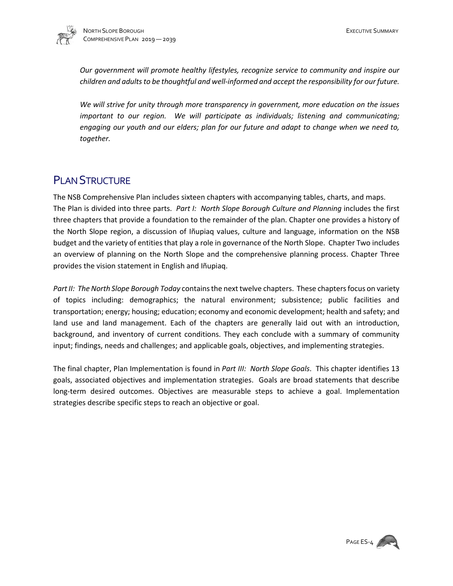

*Our government will promote healthy lifestyles, recognize service to community and inspire our children and adults to be thoughtful and well-informed and accept the responsibility for our future.* 

*We will strive for unity through more transparency in government, more education on the issues important to our region. We will participate as individuals; listening and communicating; engaging our youth and our elders; plan for our future and adapt to change when we need to, together.*

### **PLAN STRUCTURE**

The NSB Comprehensive Plan includes sixteen chapters with accompanying tables, charts, and maps. The Plan is divided into three parts. *Part I: North Slope Borough Culture and Planning* includes the first three chapters that provide a foundation to the remainder of the plan. Chapter one provides a history of the North Slope region, a discussion of Iñupiaq values, culture and language, information on the NSB budget and the variety of entities that play a role in governance of the North Slope. Chapter Two includes an overview of planning on the North Slope and the comprehensive planning process. Chapter Three provides the vision statement in English and Iñupiaq.

*Part II: The North Slope Borough Today* contains the next twelve chapters. These chapters focus on variety of topics including: demographics; the natural environment; subsistence; public facilities and transportation; energy; housing; education; economy and economic development; health and safety; and land use and land management. Each of the chapters are generally laid out with an introduction, background, and inventory of current conditions. They each conclude with a summary of community input; findings, needs and challenges; and applicable goals, objectives, and implementing strategies.

The final chapter, Plan Implementation is found in *Part III: North Slope Goals*. This chapter identifies 13 goals, associated objectives and implementation strategies. Goals are broad statements that describe long-term desired outcomes. Objectives are measurable steps to achieve a goal. Implementation strategies describe specific steps to reach an objective or goal.

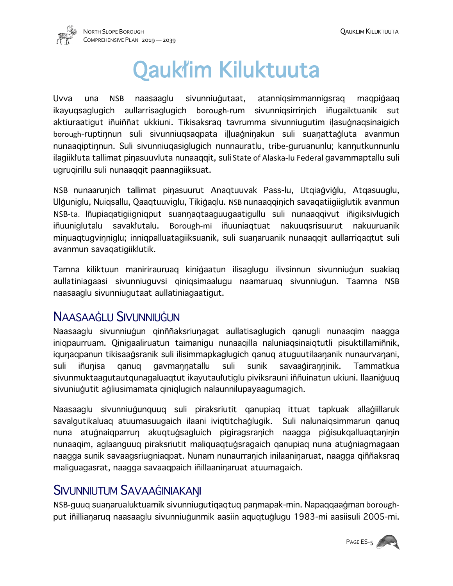

# Qauk'im Kiluktuuta

Uvva una NSB naasaaglu sivunniugutaat, atannigsimmannigsrag maqpigaag ikayugsaglugich aullarrisaglugich borough-rum sivunnigsirrinich iñugaiktuanik sut aktiuraatigut iñuiññat ukkiuni. Tikisaksrag tavrumma sivunniugutim ilasugnagsinaigich borough-ruptinnun suli sivunniuqsaqpata illuagninakun suli suanattagluta avanmun nunaaqiptinnun. Suli sivunniuqasiglugich nunnauratlu, tribe-guruanunlu; kannutkunnunlu ilagiik'uta tallimat pinasuuvluta nunaaggit, suli State of Alaska-lu Federal gavammaptallu suli ugruqirillu suli nunaaqqit paannagiiksuat.

NSB nunaarunich tallimat pinasuurut Anaqtuuvak Pass-lu, Utqiagviglu, Atqasuuglu, Ulguniglu, Nuiqsallu, Qaaqtuuviglu, Tikigaqlu. NSB nunaaqqinich savaqatiigiiglutik avanmun NSB-ta. Inupiaqatigiigniqput suannaqtaaguugaatigullu suli nunaaqqivut inigiksivlugich iñuuniglutalu savak'utalu. Borough-mi iñuuniagtuat nakuugsrisuurut nakuuruanik minuaqtugvinniglu; inniqpalluatagiiksuanik, suli suanaruanik nunaaqqit aullarriqaqtut suli avanmun savaqatigiiklutik.

Tamna kiliktuun manirirauruaq kinibaatun ilisaglugu ilivsinnun sivunniubun suakiaq aullatiniagaasi sivunniuguvsi qiniqsimaalugu naamaruaq sivunniugun. Taamna NSB naasaaglu sivunniugutaat aullatiniagaatigut.

### NAASAAGLU SIVUNNIUGUN

Naasaaglu sivunniugun qinññaksriunagat aullatisaglugich qanugli nunaagim naagga iniqpaurruam. Qiniqaaliruatun taimanigu nunaaqilla naluniaqsinaiqtutli pisuktillamiñnik, igunagpanun tikisaagsranik suli ilisimmapkaglugich ganug atuguutilaananik nunaurvanani, suli iñunisa qanuq gavmannatallu suli sunik savaagiranninik. Tammatkua sivunmuktaagutautqunagaluaqtut ikayutaulutiglu piviksrauni innuinatun ukiuni. Ilaaniguuq sivuniugutit agliusimamata qiniqlugich nalaunnilupayaagumagich.

Naasaaglu sivunniugunguug suli piraksriutit ganupiag ittuat tapkuak allagiillaruk savalgutikaluag atuumasuugaich ilaani ivigtitchaqlugik. Suli nalunaigsimmarun ganug nuna atugnaigparrun akugtugsagluich pigiragsranich naagga pigisukgalluagtaninin nunaagim, aglaanguug piraksriutit maliguagtugsragaich ganupiag nuna atugniagmagaan naagga sunik savaagsriugniaqpat. Nunam nunaurranich inilaaninaruat, naagga qiññaksraq maliguagasrat, naagga savaaqpaich iñillaaninaruat atuumagaich.

### SIVUNNIUTUM SAVAAGINIAKANI

NSB-guug suanarualuktuamik sivunniugutigagtug panmapak-min. Napaggaagman boroughput inillianaruq naasaaglu sivunniugunmik aasiin aquqtuglugu 1983-mi aasiisuli 2005-mi.

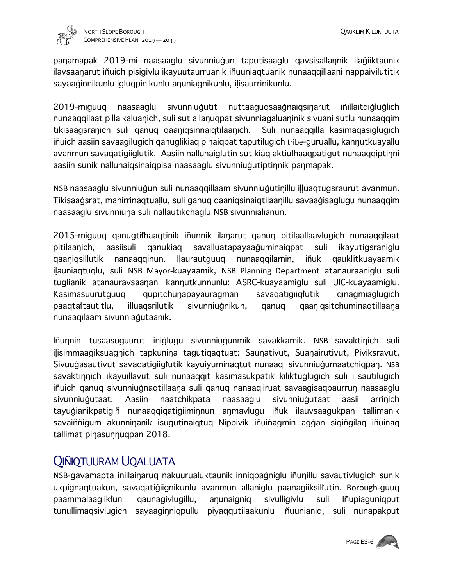

panamapak 2019-mi naasaaglu sivunniugun taputisaaglu qavsisallannik ilagiiktaunik ilavsaanarut iñuich pisigivlu ikayuutaurruanik iñuuniagtuanik nunaagqillaani nappaivilutitik sayaaginnikunlu igluqpinikunlu anuniagnikunlu, ilisaurrinikunlu.

2019-miguuq naasaaglu sivunniugutit nuttaaguqsaagnaiqsinarut inillaitqigluglich nunaaqqilaat pillaikaluanich, suli sut allanuqpat sivunniagaluaninik sivuani sutlu nunaaqqim tikisaagsranich suli qanuq qaaniqsinnaiqtilaanich. Suli nunaaqqilla kasimaqasiglugich iñuich aasiin savaagilugich ganuglikiag pinaigpat taputilugich tribe-guruallu, kannutkuayallu avanmun savaqatigiiglutik. Aasiin nallunaiglutin sut kiag aktiulhaaqpatigut nunaaqqiptinni aasiin sunik nallunaiqsinaiqpisa naasaaglu sivunniugutiptinnik panmapak.

NSB naasaaglu sivunniugun suli nunaagqillaam sivunniugutinillu illuagtugsraurut avanmun. Tikisaagsrat, manirrinaqtuallu, suli ganuq qaaniqsinaiqtilaanillu savaagisaglugu nunaaqqim naasaaglu sivunniuna suli nallautikchaglu NSB sivunnialianun.

2015-miguuq qanugtithaaqtinik inunnik ilanarut qanuq pitilaallaavlugich nunaaqqilaat pitilaanich, aasiisuli qanukiaq savalluatapayaaguminaiqpat suli ikayutigsraniglu qaaniqsillutik nanaaqqinun. Ilaurautguuq nunaaqqilamin, iñuk qauk'itkuayaamik ilauniagtuglu, suli NSB Mayor-kuayaamik, NSB Planning Department atanauraaniglu suli tuglianik atanauravsaanani kannutkunnunlu: ASRC-kuayaamiglu suli UIC-kuayaamiglu. Kasimasuurutguuq qupitchunapayauragman savaqatigiiq/utik qinagmiaglugich paaqtattautitlu, illuaqsrilutik sivunniugnikun, qanuq qaaniqsitchuminaqtillaana nunaaqilaam sivunniagutaanik.

Iñunnin tusaasuguurut iniglugu sivunniugunmik savakkamik. NSB savaktinich suli ilisimmaagiksuagnich tapkunina tagutigagtuat: Saunativut, Suanairutivut, Piviksravut, Sivuugasautivut savagatigiig/utik kayuiyuminaqtut nunaagi sivunniugumaatchiqpan. NSB savaktinnich ikayuillavut suli nunaaqqit kasimasukpatik kiliktuglugich suli ilisautilugich iñuich qanuq sivunniugnaqtillaana suli qanuq nanaaqiiruat savaaqisaqpaurrun naasaaglu sivunniugutaat. Aasiin naatchikpata naasaaglu sivunniugutaat aasii arrinich tayugianikpatigiñ nunaaqqiqatigiiminnun anmavlugu iñuk ilauvsaagukpan tallimanik savaiñnigum akunninanik isugutinaiqtuq Nippivik inuinagmin aggan siqingilaq inuinaq tallimat pinasunnuqpan 2018.

## QIÑIQTUURAM UQALUATA

NSB-gavamapta inillainaruq nakuurualuktaunik inniqpagniglu inunillu savautivlugich sunik ukpignaqtuakun, savaqatigiignikunlu avanmun allaniglu paanagiiksillutin. Borough-guuq paammalaagiikiuni qaunagivlugillu, anunaigniq sivulligivlu suli Iñupiaguniqput tunullimaqsivlugich sayaaginniqpullu piyaqqutilaakunlu inuunianiq, suli nunapakput

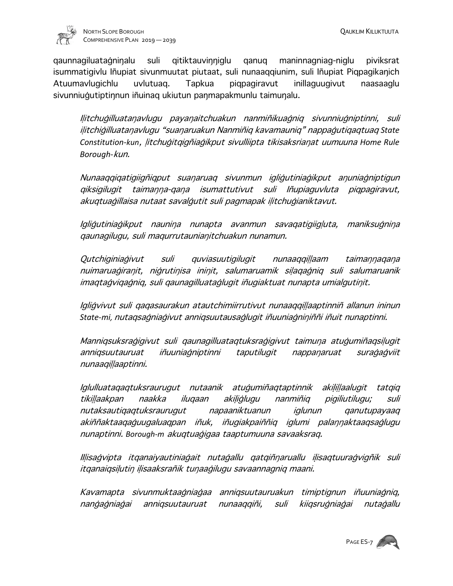

qaunnagiluatagninalu suli qitiktauvinniglu qanuq maninnagniag-niglu piviksrat isummatigivlu Iñupiat sivunmuutat piutaat, suli nunaaqqiunim, suli Iñupiat Piqpagikanich Atuumavlugichlu uvlutuaq. Tapkua piqpagiravut inillaguugivut naasaaglu sivunniugutiptinnun iñuinaq ukiutun panmapakmunlu taimunalu.

Ilitchugilluatanavlugu payanaitchuakun nanmiñikuagnig sivunniugniptinni, suli ilitchigilluatanavlugu "suanaruakun Nanmiñig kavamaunig" nappagutigagtuag State Constitution-kun, *litchugitqigñiagikput sivulliipta tikisaksrianat uumuuna Home Rule Borough-*kun.

Nunaaqqiqatigiigñiqput suanaruaq sivunmun igligutiniagikput anuniagniptigun qiksigilugit taimanna-qana isumattutivut suli Iñupiaguvluta piqpagiravut, akuqtuaģillaisa nutaat savalģutit suli pagmapak iļitchuģianiktavut.

Igligutiniagikput naunina nunapta avanmun savagatigiigluta, maniksugnina qaunagilugu, suli maqurrutauniafitchuakun nunamun.

Qutchiginiagivut suli quviasuutigilugit nunaaqqillaam taimannagana nuimaruagiranit, nigrutinisa ininit, salumaruamik silaqagniq suli salumaruanik imaqtaqviqaqniq, suli qaunaqilluataqluqit iñuqiaktuat nunapta umialqutinit.

Igligvivut suli qaqasaurakun atautchimiirrutivut nunaaqqillaaptinniñ allanun ininun State-mi, nutaqsagniagivut anniqsuutausaglugit iñuuniagniniññi iñuit nunaptinni.

Manniqsuksraģigivut suli qaunagilluataqtuksraģigivut taimuna atuģumiñaqsiļugit anniqsuutauruat iñuuniagniptinni taputilugit nappanaruat suragagviit nunaaqillaaptinni.

Iglulluataqaqtuksraurugut nutaanik atugumiñaqtaptinnik akilillaalugit tatqiq tikillaakpan naakka iluqaan akiliglugu nanmiñiq pigiliutilugu; suli nutaksautiqaqtuksraurugut napaaniktuanun iglunun qanutupayaaq akiññaktaaqaguugaluaqpan iñuk, iñugiakpaiññiq iglumi palannaktaaqsaglugu nunaptinni. *Borough-m* akuqtuabigaa taaptumuuna savaaksraq.

Illisagvipta itqanaiyautiniagait nutagallu qatqiñnaruallu ilisaqtuuragvigñik suli itganaigsilutin ilisaaksrañik tunaagilugu savaannagnig maani.

Kavamapta sivunmuktaagniagaa anniqsuutauruakun timiptignun iñuuniagniq, nangagniagai anniqsuutauruat nunaaqqiñi, suli kiiqsrugniagai nutagallu